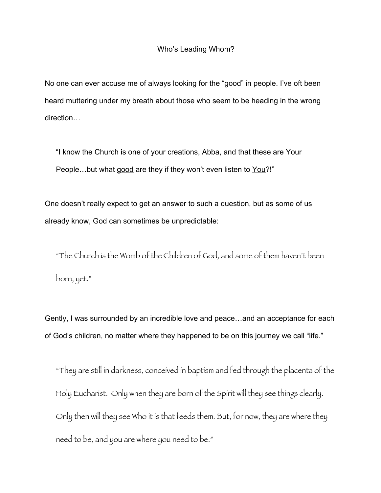## Who's Leading Whom?

No one can ever accuse me of always looking for the "good" in people. I've oft been heard muttering under my breath about those who seem to be heading in the wrong direction…

"I know the Church is one of your creations, Abba, and that these are Your People…but what good are they if they won't even listen to You?!"

One doesn't really expect to get an answer to such a question, but as some of us already know, God can sometimes be unpredictable:

"The Church is the Womb of the Children of God, and some of them haven't been born, yet."

Gently, I was surrounded by an incredible love and peace…and an acceptance for each of God's children, no matter where they happened to be on this journey we call "life."

"They are still in darkness, conceived in baptism and fed through the placenta of the Holy Eucharist. Only when they are born of the Spirit will they see things clearly. Only then will they see Who it is that feeds them. But, for now, they are where they need to be, and you are where you need to be."